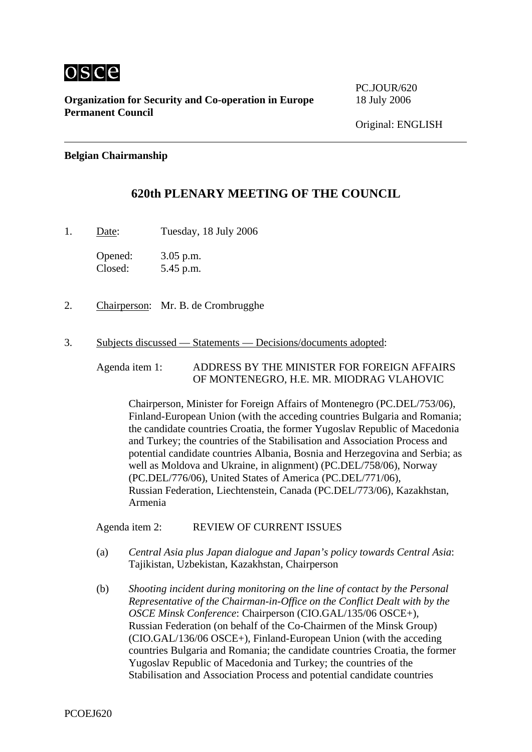

**Organization for Security and Co-operation in Europe** 18 July 2006 **Permanent Council** 

PC.JOUR/620

## **Belgian Chairmanship**

## **620th PLENARY MEETING OF THE COUNCIL**

1. Date: Tuesday, 18 July 2006

Opened: 3.05 p.m. Closed: 5.45 p.m.

- 2. Chairperson: Mr. B. de Crombrugghe
- 3. Subjects discussed Statements Decisions/documents adopted:

Agenda item 1: ADDRESS BY THE MINISTER FOR FOREIGN AFFAIRS OF MONTENEGRO, H.E. MR. MIODRAG VLAHOVIC

Chairperson, Minister for Foreign Affairs of Montenegro (PC.DEL/753/06), Finland-European Union (with the acceding countries Bulgaria and Romania; the candidate countries Croatia, the former Yugoslav Republic of Macedonia and Turkey; the countries of the Stabilisation and Association Process and potential candidate countries Albania, Bosnia and Herzegovina and Serbia; as well as Moldova and Ukraine, in alignment) (PC.DEL/758/06), Norway (PC.DEL/776/06), United States of America (PC.DEL/771/06), Russian Federation, Liechtenstein, Canada (PC.DEL/773/06), Kazakhstan, Armenia

Agenda item 2: REVIEW OF CURRENT ISSUES

- (a) *Central Asia plus Japan dialogue and Japan's policy towards Central Asia*: Tajikistan, Uzbekistan, Kazakhstan, Chairperson
- (b) *Shooting incident during monitoring on the line of contact by the Personal Representative of the Chairman-in-Office on the Conflict Dealt with by the OSCE Minsk Conference*: Chairperson (CIO.GAL/135/06 OSCE+), Russian Federation (on behalf of the Co-Chairmen of the Minsk Group) (CIO.GAL/136/06 OSCE+), Finland-European Union (with the acceding countries Bulgaria and Romania; the candidate countries Croatia, the former Yugoslav Republic of Macedonia and Turkey; the countries of the Stabilisation and Association Process and potential candidate countries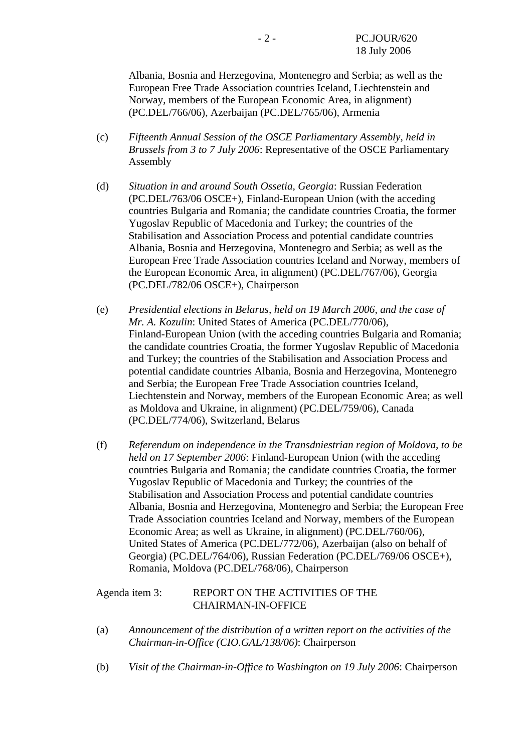Albania, Bosnia and Herzegovina, Montenegro and Serbia; as well as the European Free Trade Association countries Iceland, Liechtenstein and Norway, members of the European Economic Area, in alignment) (PC.DEL/766/06), Azerbaijan (PC.DEL/765/06), Armenia

- (c) *Fifteenth Annual Session of the OSCE Parliamentary Assembly, held in Brussels from 3 to 7 July 2006*: Representative of the OSCE Parliamentary Assembly
- (d) *Situation in and around South Ossetia, Georgia*: Russian Federation (PC.DEL/763/06 OSCE+), Finland-European Union (with the acceding countries Bulgaria and Romania; the candidate countries Croatia, the former Yugoslav Republic of Macedonia and Turkey; the countries of the Stabilisation and Association Process and potential candidate countries Albania, Bosnia and Herzegovina, Montenegro and Serbia; as well as the European Free Trade Association countries Iceland and Norway, members of the European Economic Area, in alignment) (PC.DEL/767/06), Georgia (PC.DEL/782/06 OSCE+), Chairperson
- (e) *Presidential elections in Belarus, held on 19 March 2006, and the case of Mr. A. Kozulin*: United States of America (PC.DEL/770/06), Finland-European Union (with the acceding countries Bulgaria and Romania; the candidate countries Croatia, the former Yugoslav Republic of Macedonia and Turkey; the countries of the Stabilisation and Association Process and potential candidate countries Albania, Bosnia and Herzegovina, Montenegro and Serbia; the European Free Trade Association countries Iceland, Liechtenstein and Norway, members of the European Economic Area; as well as Moldova and Ukraine, in alignment) (PC.DEL/759/06), Canada (PC.DEL/774/06), Switzerland, Belarus
- (f) *Referendum on independence in the Transdniestrian region of Moldova, to be held on 17 September 2006*: Finland-European Union (with the acceding countries Bulgaria and Romania; the candidate countries Croatia, the former Yugoslav Republic of Macedonia and Turkey; the countries of the Stabilisation and Association Process and potential candidate countries Albania, Bosnia and Herzegovina, Montenegro and Serbia; the European Free Trade Association countries Iceland and Norway, members of the European Economic Area; as well as Ukraine, in alignment) (PC.DEL/760/06), United States of America (PC.DEL/772/06), Azerbaijan (also on behalf of Georgia) (PC.DEL/764/06), Russian Federation (PC.DEL/769/06 OSCE+), Romania, Moldova (PC.DEL/768/06), Chairperson

## Agenda item 3: REPORT ON THE ACTIVITIES OF THE CHAIRMAN-IN-OFFICE

- (a) *Announcement of the distribution of a written report on the activities of the Chairman-in-Office (CIO.GAL/138/06)*: Chairperson
- (b) *Visit of the Chairman-in-Office to Washington on 19 July 2006*: Chairperson